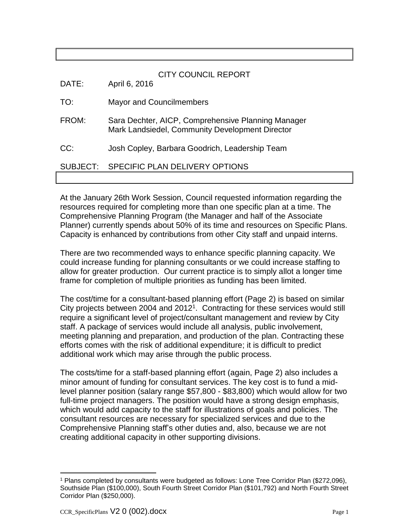## CITY COUNCIL REPORT

DATE: April 6, 2016

- TO: Mayor and Councilmembers
- FROM: Sara Dechter, AICP, Comprehensive Planning Manager Mark Landsiedel, Community Development Director
- CC: Josh Copley, Barbara Goodrich, Leadership Team

## SUBJECT: SPECIFIC PLAN DELIVERY OPTIONS

At the January 26th Work Session, Council requested information regarding the resources required for completing more than one specific plan at a time. The Comprehensive Planning Program (the Manager and half of the Associate Planner) currently spends about 50% of its time and resources on Specific Plans. Capacity is enhanced by contributions from other City staff and unpaid interns.

There are two recommended ways to enhance specific planning capacity. We could increase funding for planning consultants or we could increase staffing to allow for greater production. Our current practice is to simply allot a longer time frame for completion of multiple priorities as funding has been limited.

The cost/time for a consultant-based planning effort (Page 2) is based on similar City projects between 2004 and  $2012<sup>1</sup>$ . Contracting for these services would still require a significant level of project/consultant management and review by City staff. A package of services would include all analysis, public involvement, meeting planning and preparation, and production of the plan. Contracting these efforts comes with the risk of additional expenditure; it is difficult to predict additional work which may arise through the public process.

The costs/time for a staff-based planning effort (again, Page 2) also includes a minor amount of funding for consultant services. The key cost is to fund a midlevel planner position (salary range \$57,800 - \$83,800) which would allow for two full-time project managers. The position would have a strong design emphasis, which would add capacity to the staff for illustrations of goals and policies. The consultant resources are necessary for specialized services and due to the Comprehensive Planning staff's other duties and, also, because we are not creating additional capacity in other supporting divisions.

 $\overline{a}$ 

<sup>1</sup> Plans completed by consultants were budgeted as follows: Lone Tree Corridor Plan (\$272,096), Southside Plan (\$100,000), South Fourth Street Corridor Plan (\$101,792) and North Fourth Street Corridor Plan (\$250,000).